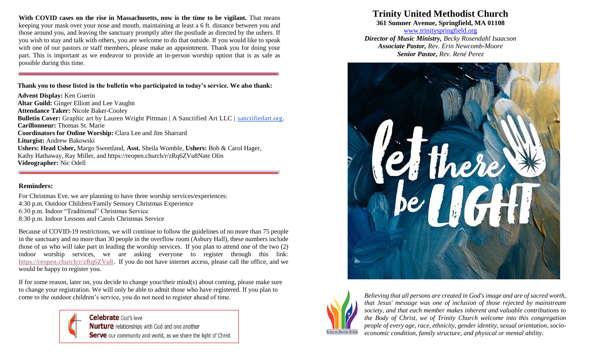**With COVID cases on the rise in Massachusetts, now is the time to be vigilant.** That means keeping your mask over your nose and mouth, maintaining at least a 6 ft. distance between you and those around you, and leaving the sanctuary promptly after the postlude as directed by the ushers. If you wish to stay and talk with others, you are welcome to do that outside. If you would like to speak with one of our pastors or staff members, please make an appointment. Thank you for doing your part. This is important as we endeavor to provide an in-person worship option that is as safe as possible during this time.

#### **Thank you to those listed in the bulletin who participated in today's service. We also thank:**

**Advent Display:** Ken Guerin **Altar Guild:** Ginger Elliott and Lee Vaughn **Attendance Taker:** Nicole Baker-Cooley **Bulletin Cover:** Graphic art by Lauren Wright Pittman | A Sanctified Art LLC | [sanctifiedart.org.](http://sanctifiedart.org/) **Carillonneur:** Thomas St. Marie **Coordinators for Online Worship:** Clara Lee and Jim Sharrard **Liturgist:** Andrew Bakowski **Ushers: Head Usher,** Margo Sweetland, **Asst.** Sheila Womble, **Ushers:** Bob & Carol Hager, Kathy Hathaway, Ray Miller, and https://reopen.church/r/zRq6ZVu8Nate Olin **Videographer:** Nic Odell

### **Reminders:**

For Christmas Eve, we are planning to have three worship services/experiences: 4:30 p.m. Outdoor Children/Family Sensory Christmas Experience 6:30 p.m. Indoor "Traditional" Christmas Service 8:30 p.m. Indoor Lessons and Carols Christmas Service

Because of COVID-19 restrictions, we will continue to follow the guidelines of no more than 75 people in the sanctuary and no more than 30 people in the overflow room (Asbury Hall), these numbers include those of us who will take part in leading the worship services. If you plan to attend one of the two (2) indoor worship services, we are asking everyone to register through this link: [https://reopen.church/r/zRq6ZVu8.](https://reopen.church/r/zRq6ZVu8) If you do not have internet access, please call the office, and we would be happy to register you.

If for some reason, later on, you decide to change your/their mind(s) about coming, please make sure to change your registration. We will only be able to admit those who have registered. If you plan to come to the outdoor children's service, you do not need to register ahead of time.



# **Trinity United Methodist Church**

**361 Sumner Avenue, Springfield, MA 01108**

[www.trinityspringfield.org](http://www.trinityspringfield.org/) *Director of Music Ministry, Becky Rosendahl Isaacson Associate Pastor, Rev. Erin Newcomb-Moore Senior Pastor, Rev. René Perez*





*Believing that all persons are created in God's image and are of sacred worth, that Jesus' message was one of inclusion of those rejected by mainstream society, and that each member makes inherent and valuable contributions to the Body of Christ, we of Trinity Church welcome into this congregation people of every age, race, ethnicity, gender identity, sexual orientation, socioeconomic condition, family structure, and physical or mental ability.*